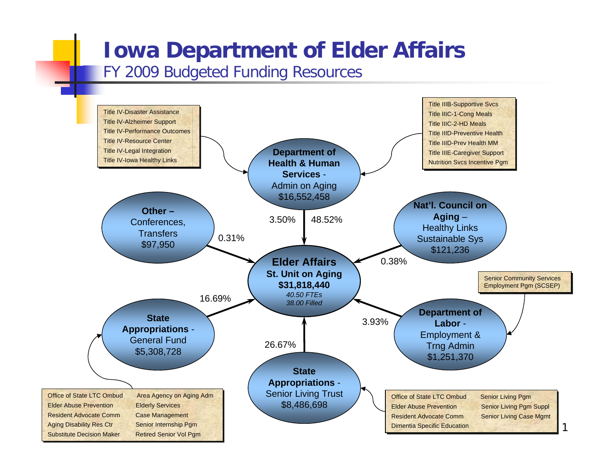## **Iowa Department of Elder Affairs**

## FY 2009 Budgeted Funding Resources